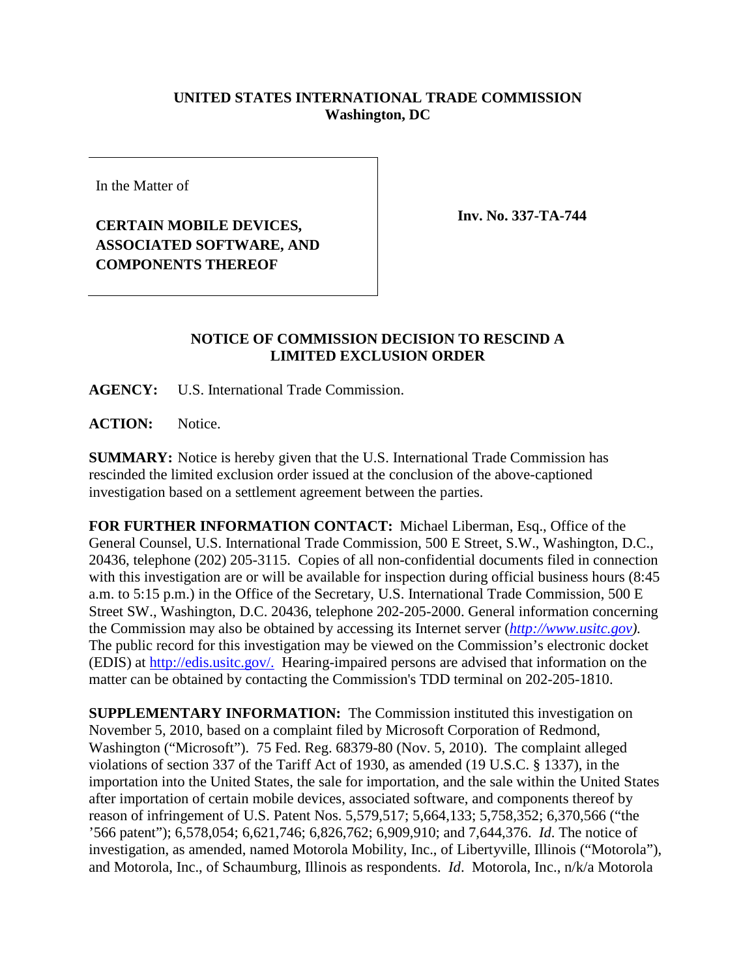## **UNITED STATES INTERNATIONAL TRADE COMMISSION Washington, DC**

In the Matter of

## **CERTAIN MOBILE DEVICES, ASSOCIATED SOFTWARE, AND COMPONENTS THEREOF**

**Inv. No. 337-TA-744**

## **NOTICE OF COMMISSION DECISION TO RESCIND A LIMITED EXCLUSION ORDER**

**AGENCY:** U.S. International Trade Commission.

**ACTION:** Notice.

**SUMMARY:** Notice is hereby given that the U.S. International Trade Commission has rescinded the limited exclusion order issued at the conclusion of the above-captioned investigation based on a settlement agreement between the parties.

**FOR FURTHER INFORMATION CONTACT:** Michael Liberman, Esq., Office of the General Counsel, U.S. International Trade Commission, 500 E Street, S.W., Washington, D.C., 20436, telephone (202) 205-3115. Copies of all non-confidential documents filed in connection with this investigation are or will be available for inspection during official business hours (8:45 a.m. to 5:15 p.m.) in the Office of the Secretary, U.S. International Trade Commission, 500 E Street SW., Washington, D.C. 20436, telephone 202-205-2000. General information concerning the Commission may also be obtained by accessing its Internet server (*[http://www.usitc.gov\)](http://www.usitc.gov/).*  The public record for this investigation may be viewed on the Commission's electronic docket (EDIS) at http://edis.usitc.gov/. Hearing-impaired persons are advised that information on the matter can be obtained by contacting the Commission's TDD terminal on 202-205-1810.

**SUPPLEMENTARY INFORMATION:** The Commission instituted this investigation on November 5, 2010, based on a complaint filed by Microsoft Corporation of Redmond, Washington ("Microsoft"). 75 Fed. Reg. 68379-80 (Nov. 5, 2010). The complaint alleged violations of section 337 of the Tariff Act of 1930, as amended (19 U.S.C. § 1337), in the importation into the United States, the sale for importation, and the sale within the United States after importation of certain mobile devices, associated software, and components thereof by reason of infringement of U.S. Patent Nos. 5,579,517; 5,664,133; 5,758,352; 6,370,566 ("the '566 patent"); 6,578,054; 6,621,746; 6,826,762; 6,909,910; and 7,644,376. *Id*. The notice of investigation, as amended, named Motorola Mobility, Inc., of Libertyville, Illinois ("Motorola"), and Motorola, Inc., of Schaumburg, Illinois as respondents. *Id*. Motorola, Inc., n/k/a Motorola